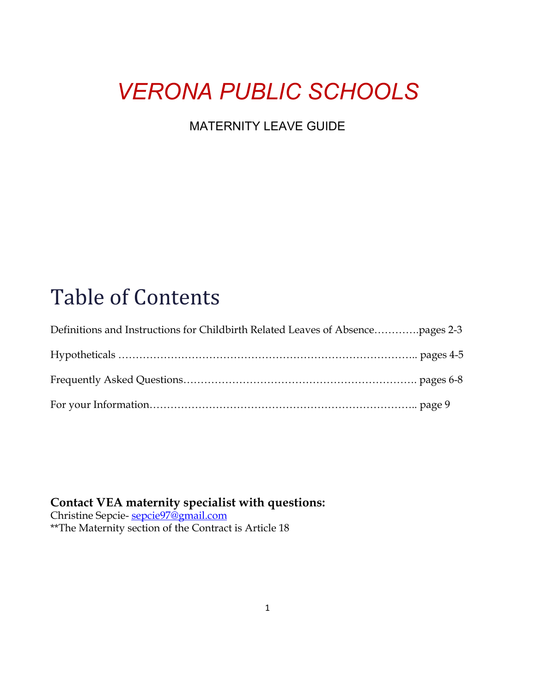# *VERONA PUBLIC SCHOOLS*

#### MATERNITY LEAVE GUIDE

# Table of Contents

# **Contact VEA maternity speciali[st](mailto:sepcie97@gmail.com) with questions:**

Christine Sepcie- <u>sepcie97@gmail.com</u> \*\*The Maternity section of the Contract is Article 18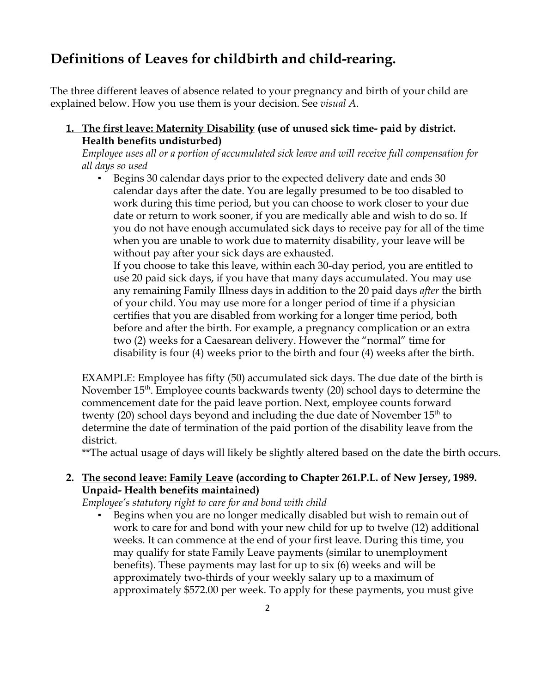## **Definitions of Leaves for childbirth and child-rearing.**

The three different leaves of absence related to your pregnancy and birth of your child are explained below. How you use them is your decision. See *visual A*.

**1. The first leave: Maternity Disability (use of unused sick time- paid by district. Health benefits undisturbed)** 

*Employee uses all or a portion of accumulated sick leave and will receive full compensation for all days so used* 

▪ Begins 30 calendar days prior to the expected delivery date and ends 30 calendar days after the date. You are legally presumed to be too disabled to work during this time period, but you can choose to work closer to your due date or return to work sooner, if you are medically able and wish to do so. If you do not have enough accumulated sick days to receive pay for all of the time when you are unable to work due to maternity disability, your leave will be without pay after your sick days are exhausted.

If you choose to take this leave, within each 30-day period, you are entitled to use 20 paid sick days, if you have that many days accumulated. You may use any remaining Family Illness days in addition to the 20 paid days *after* the birth of your child. You may use more for a longer period of time if a physician certifies that you are disabled from working for a longer time period, both before and after the birth. For example, a pregnancy complication or an extra two (2) weeks for a Caesarean delivery. However the "normal" time for disability is four (4) weeks prior to the birth and four (4) weeks after the birth.

EXAMPLE: Employee has fifty (50) accumulated sick days. The due date of the birth is November 15<sup>th</sup>. Employee counts backwards twenty (20) school days to determine the commencement date for the paid leave portion. Next, employee counts forward twenty (20) school days beyond and including the due date of November  $15<sup>th</sup>$  to determine the date of termination of the paid portion of the disability leave from the district.

\*\*The actual usage of days will likely be slightly altered based on the date the birth occurs.

#### **2. The second leave: Family Leave (according to Chapter 261.P.L. of New Jersey, 1989. Unpaid- Health benefits maintained)**

*Employee's statutory right to care for and bond with child* 

Begins when you are no longer medically disabled but wish to remain out of work to care for and bond with your new child for up to twelve (12) additional weeks. It can commence at the end of your first leave. During this time, you may qualify for state Family Leave payments (similar to unemployment benefits). These payments may last for up to six (6) weeks and will be approximately two-thirds of your weekly salary up to a maximum of approximately \$572.00 per week. To apply for these payments, you must give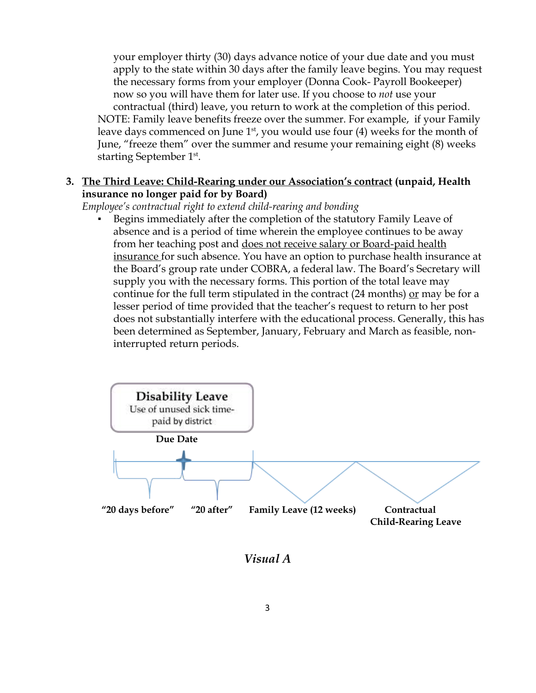your employer thirty (30) days advance notice of your due date and you must apply to the state within 30 days after the family leave begins. You may request the necessary forms from your employer (Donna Cook- Payroll Bookeeper) now so you will have them for later use. If you choose to *not* use your contractual (third) leave, you return to work at the completion of this period. NOTE: Family leave benefits freeze over the summer. For example, if your Family leave days commenced on June  $1<sup>st</sup>$ , you would use four (4) weeks for the month of June, "freeze them" over the summer and resume your remaining eight (8) weeks starting September 1<sup>st</sup>.

#### **3. The Third Leave: Child-Rearing under our Association's contract (unpaid, Health insurance no longer paid for by Board)**

*Employee's contractual right to extend child-rearing and bonding* 

Begins immediately after the completion of the statutory Family Leave of absence and is a period of time wherein the employee continues to be away from her teaching post and <u>does not receive salary or Board-paid health</u> insurance for such absence. You have an option to purchase health insurance at the Board's group rate under COBRA, a federal law. The Board's Secretary will supply you with the necessary forms. This portion of the total leave may continue for the full term stipulated in the contract  $(24 \text{ months})$  or may be for a lesser period of time provided that the teacher's request to return to her post does not substantially interfere with the educational process. Generally, this has been determined as September, January, February and March as feasible, non interrupted return periods.



*Visual A*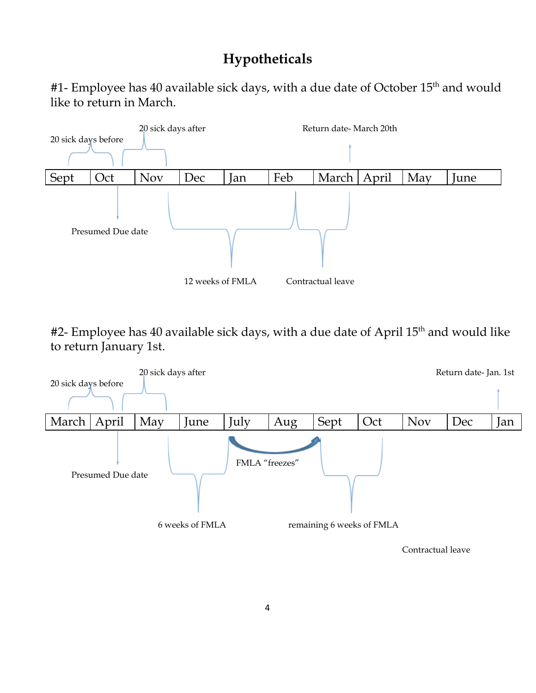# **Hypotheticals**

#1- Employee has 40 available sick days, with a due date of October 15<sup>th</sup> and would like to return in March.



#2- Employee has 40 available sick days, with a due date of April 15<sup>th</sup> and would like to return January 1st.



4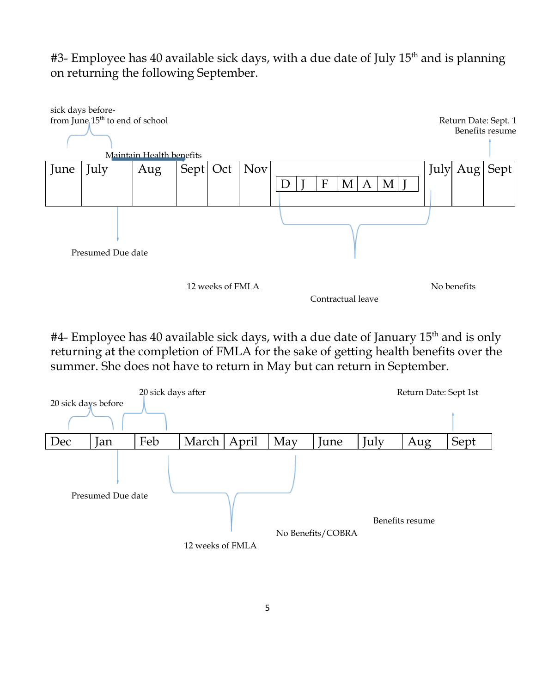$#3$ - Employee has 40 available sick days, with a due date of July 15<sup>th</sup> and is planning on returning the following September.



 $#4$ - Employee has 40 available sick days, with a due date of January  $15<sup>th</sup>$  and is only returning at the completion of FMLA for the sake of getting health benefits over the summer. She does not have to return in May but can return in September.

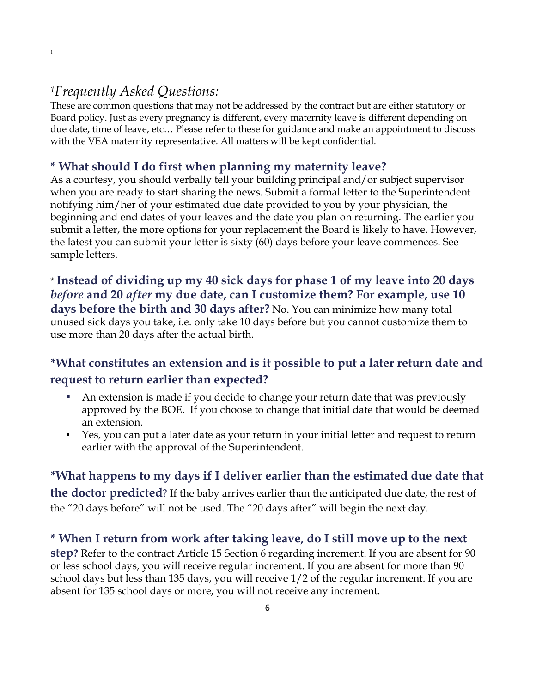1

These are common questions that may not be addressed by the contract but are either statutory or Board policy. Just as every pregnancy is different, every maternity leave is different depending on due date, time of leave, etc… Please refer to these for guidance and make an appointment to discuss with the VEA maternity representative. All matters will be kept confidential.

#### **\* What should I do first when planning my maternity leave?**

As a courtesy, you should verbally tell your building principal and/or subject supervisor when you are ready to start sharing the news. Submit a formal letter to the Superintendent notifying him/her of your estimated due date provided to you by your physician, the beginning and end dates of your leaves and the date you plan on returning. The earlier you submit a letter, the more options for your replacement the Board is likely to have. However, the latest you can submit your letter is sixty (60) days before your leave commences. See sample letters.

\* **Instead of dividing up my 40 sick days for phase 1 of my leave into 20 days**  *before* **and 20** *after* **my due date, can I customize them? For example, use 10 days before the birth and 30 days after?** No. You can minimize how many total unused sick days you take, i.e. only take 10 days before but you cannot customize them to use more than 20 days after the actual birth.

## **\*What constitutes an extension and is it possible to put a later return date and request to return earlier than expected?**

- An extension is made if you decide to change your return date that was previously approved by the BOE. If you choose to change that initial date that would be deemed an extension.
- Yes, you can put a later date as your return in your initial letter and request to return earlier with the approval of the Superintendent.

## **\*What happens to my days if I deliver earlier than the estimated due date that**

**the doctor predicted**? If the baby arrives earlier than the anticipated due date, the rest of the "20 days before" will not be used. The "20 days after" will begin the next day.

#### **\* When I return from work after taking leave, do I still move up to the next**

**step?** Refer to the contract Article 15 Section 6 regarding increment. If you are absent for 90 or less school days, you will receive regular increment. If you are absent for more than 90 school days but less than 135 days, you will receive 1/2 of the regular increment. If you are absent for 135 school days or more, you will not receive any increment.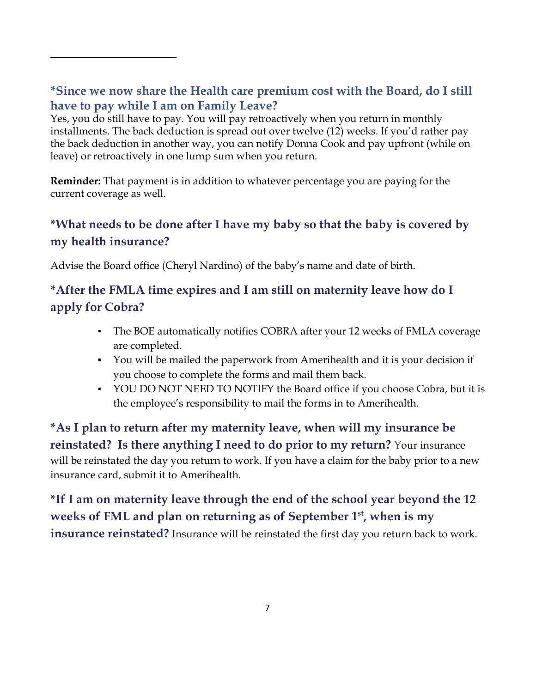#### **\*Since we now share the Health care premium cost with the Board, do I still have to pay while I am on Family Leave?**

Yes, you do still have to pay. You will pay retroactively when you return in monthly installments. The back deduction is spread out over twelve (12) weeks. If you'd rather pay the back deduction in another way, you can notify Donna Cook and pay upfront (while on leave) or retroactively in one lump sum when you return.

**Reminder:** That payment is in addition to whatever percentage you are paying for the current coverage as well.

#### **\*What needs to be done after I have my baby so that the baby is covered by my health insurance?**

Advise the Board office (Cheryl Nardino) of the baby's name and date of birth.

## **\*After the FMLA time expires and I am still on maternity leave how do I apply for Cobra?**

- The BOE automatically notifies COBRA after your 12 weeks of FMLA coverage are completed.
- You will be mailed the paperwork from Amerihealth and it is your decision if you choose to complete the forms and mail them back.
- YOU DO NOT NEED TO NOTIFY the Board office if you choose Cobra, but it is the employee's responsibility to mail the forms in to Amerihealth.

**\*As I plan to return after my maternity leave, when will my insurance be reinstated? Is there anything I need to do prior to my return?** Your insurance will be reinstated the day you return to work. If you have a claim for the baby prior to a new insurance card, submit it to Amerihealth.

**\*If I am on maternity leave through the end of the school year beyond the 12 weeks of FML and plan on returning as of September 1st, when is my insurance reinstated?** Insurance will be reinstated the first day you return back to work.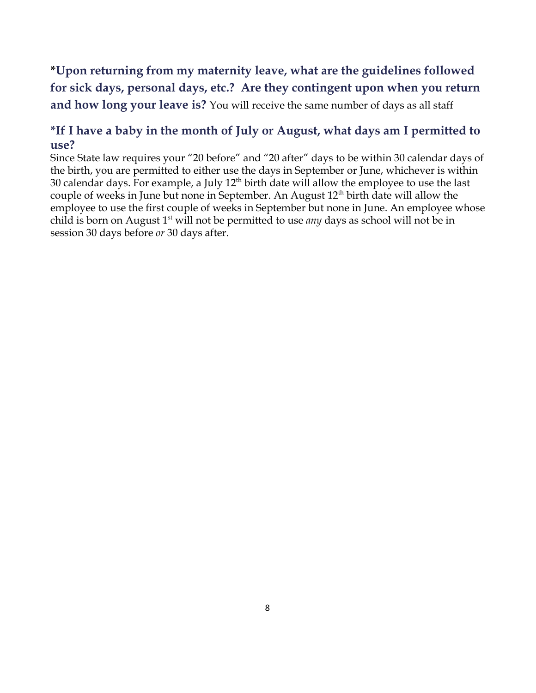**\*Upon returning from my maternity leave, what are the guidelines followed for sick days, personal days, etc.? Are they contingent upon when you return and how long your leave is?** You will receive the same number of days as all staff

#### **\*If I have a baby in the month of July or August, what days am I permitted to use?**

Since State law requires your "20 before" and "20 after" days to be within 30 calendar days of the birth, you are permitted to either use the days in September or June, whichever is within 30 calendar days. For example, a July  $12<sup>th</sup>$  birth date will allow the employee to use the last couple of weeks in June but none in September. An August  $12<sup>th</sup>$  birth date will allow the employee to use the first couple of weeks in September but none in June. An employee whose child is born on August 1st will not be permitted to use *any* days as school will not be in session 30 days before *or* 30 days after.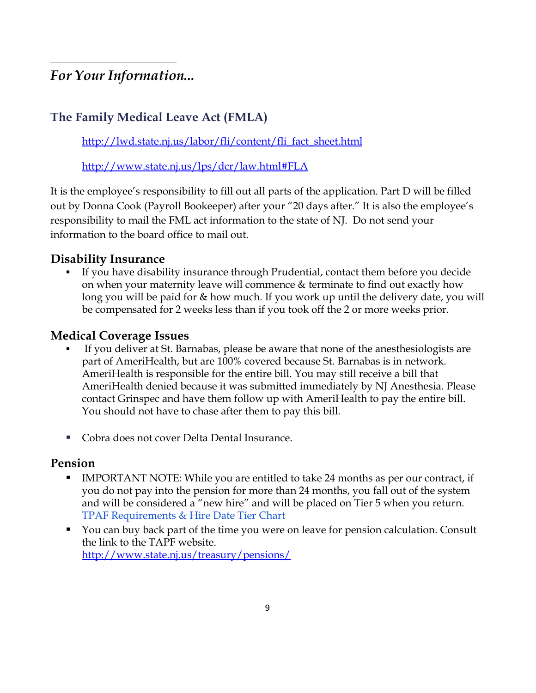*For Your Information...* 

#### **The Family Medical Leave Act (FMLA)**

[http://lwd.state.nj.us/labor/fli/content/fli\\_fact\\_sheet.html](http://lwd.state.nj.us/labor/fli/content/fli_fact_sheet.html)

<http://www.state.nj.us/lps/dcr/law.html#FLA>

It is the employee's responsibility to fill out all parts of the application. Part D will be filled out by Donna Cook (Payroll Bookeeper) after your "20 days after." It is also the employee's responsibility to mail the FML act information to the state of NJ. Do not send your information to the board office to mail out.

#### **Disability Insurance**

**▪** If you have disability insurance through Prudential, contact them before you decide on when your maternity leave will commence & terminate to find out exactly how long you will be paid for & how much. If you work up until the delivery date, you will be compensated for 2 weeks less than if you took off the 2 or more weeks prior.

#### **Medical Coverage Issues**

- **▪** If you deliver at St. Barnabas, please be aware that none of the anesthesiologists are part of AmeriHealth, but are 100% covered because St. Barnabas is in network. AmeriHealth is responsible for the entire bill. You may still receive a bill that AmeriHealth denied because it was submitted immediately by NJ Anesthesia. Please contact Grinspec and have them follow up with AmeriHealth to pay the entire bill. You should not have to chase after them to pay this bill.
- **▪** Cobra does not cover Delta Dental Insurance.

#### **Pension**

- **▪** IMPORTANT NOTE: While you are entitled to take 24 months as per our contract, if you do not pay into the pension for more than 24 months, you fall out of the system and will be considered a "new hire" and will be placed on Tier 5 when you return. [TPAF Requirements & Hire Date Tier Chart](http://www.nj.gov/treasury/pensions/pdf/sc0853-pers-tpaf-tier-chart.pdf)
- You can buy back part of the time you were on leave for pension calculation. Consult the link to the TAPF website. <http://www.state.nj.us/treasury/pensions/>